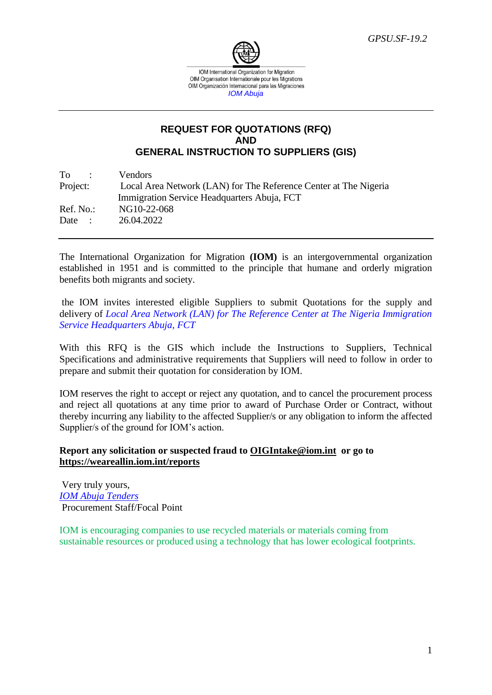

# **REQUEST FOR QUOTATIONS (RFQ) AND GENERAL INSTRUCTION TO SUPPLIERS (GIS)**

| To<br><b>Contract Contract</b> | Vendors                                                          |
|--------------------------------|------------------------------------------------------------------|
| Project:                       | Local Area Network (LAN) for The Reference Center at The Nigeria |
|                                | Immigration Service Headquarters Abuja, FCT                      |
| Ref. No.:                      | NG10-22-068                                                      |
| Date:                          | 26.04.2022                                                       |

The International Organization for Migration **(IOM)** is an intergovernmental organization established in 1951 and is committed to the principle that humane and orderly migration benefits both migrants and society.

the IOM invites interested eligible Suppliers to submit Quotations for the supply and delivery of *Local Area Network (LAN) for The Reference Center at The Nigeria Immigration Service Headquarters Abuja, FCT*

With this RFQ is the GIS which include the Instructions to Suppliers, Technical Specifications and administrative requirements that Suppliers will need to follow in order to prepare and submit their quotation for consideration by IOM.

IOM reserves the right to accept or reject any quotation, and to cancel the procurement process and reject all quotations at any time prior to award of Purchase Order or Contract, without thereby incurring any liability to the affected Supplier/s or any obligation to inform the affected Supplier/s of the ground for IOM's action.

# **Report any solicitation or suspected fraud to [OIGIntake@iom.int](mailto:OIGIntake@iom.int) or go to <https://weareallin.iom.int/reports>**

Very truly yours, *IOM Abuja Tenders* Procurement Staff/Focal Point

IOM is encouraging companies to use recycled materials or materials coming from sustainable resources or produced using a technology that has lower ecological footprints.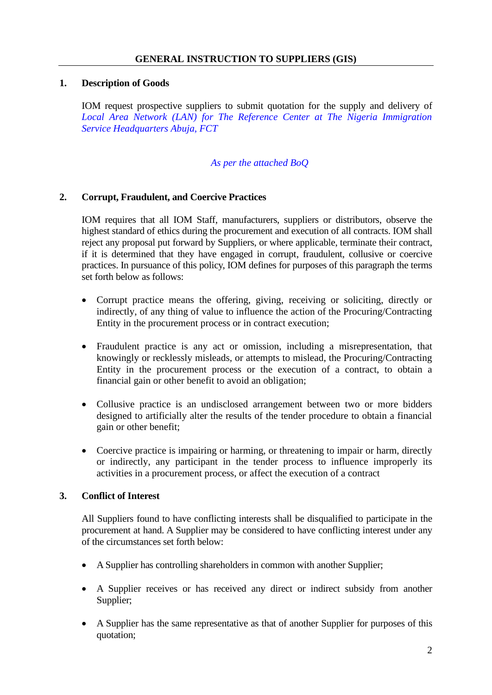# **1. Description of Goods**

IOM request prospective suppliers to submit quotation for the supply and delivery of *Local Area Network (LAN) for The Reference Center at The Nigeria Immigration Service Headquarters Abuja, FCT*

#### *As per the attached BoQ*

# **2. Corrupt, Fraudulent, and Coercive Practices**

IOM requires that all IOM Staff, manufacturers, suppliers or distributors, observe the highest standard of ethics during the procurement and execution of all contracts. IOM shall reject any proposal put forward by Suppliers, or where applicable, terminate their contract, if it is determined that they have engaged in corrupt, fraudulent, collusive or coercive practices. In pursuance of this policy, IOM defines for purposes of this paragraph the terms set forth below as follows:

- Corrupt practice means the offering, giving, receiving or soliciting, directly or indirectly, of any thing of value to influence the action of the Procuring/Contracting Entity in the procurement process or in contract execution;
- Fraudulent practice is any act or omission, including a misrepresentation, that knowingly or recklessly misleads, or attempts to mislead, the Procuring/Contracting Entity in the procurement process or the execution of a contract, to obtain a financial gain or other benefit to avoid an obligation;
- Collusive practice is an undisclosed arrangement between two or more bidders designed to artificially alter the results of the tender procedure to obtain a financial gain or other benefit;
- Coercive practice is impairing or harming, or threatening to impair or harm, directly or indirectly, any participant in the tender process to influence improperly its activities in a procurement process, or affect the execution of a contract

#### **3. Conflict of Interest**

All Suppliers found to have conflicting interests shall be disqualified to participate in the procurement at hand. A Supplier may be considered to have conflicting interest under any of the circumstances set forth below:

- A Supplier has controlling shareholders in common with another Supplier;
- A Supplier receives or has received any direct or indirect subsidy from another Supplier;
- A Supplier has the same representative as that of another Supplier for purposes of this quotation;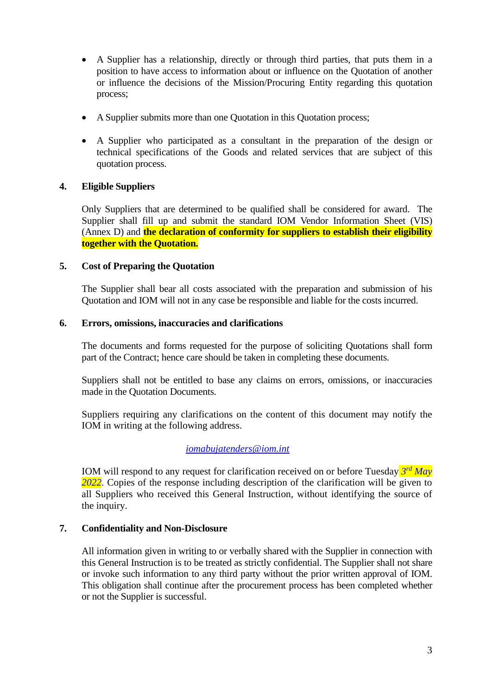- A Supplier has a relationship, directly or through third parties, that puts them in a position to have access to information about or influence on the Quotation of another or influence the decisions of the Mission/Procuring Entity regarding this quotation process;
- A Supplier submits more than one Quotation in this Quotation process;
- A Supplier who participated as a consultant in the preparation of the design or technical specifications of the Goods and related services that are subject of this quotation process.

# **4. Eligible Suppliers**

Only Suppliers that are determined to be qualified shall be considered for award. The Supplier shall fill up and submit the standard IOM Vendor Information Sheet (VIS) (Annex D) and **the declaration of conformity for suppliers to establish their eligibility together with the Quotation.**

#### **5. Cost of Preparing the Quotation**

The Supplier shall bear all costs associated with the preparation and submission of his Quotation and IOM will not in any case be responsible and liable for the costs incurred.

#### **6. Errors, omissions, inaccuracies and clarifications**

The documents and forms requested for the purpose of soliciting Quotations shall form part of the Contract; hence care should be taken in completing these documents.

Suppliers shall not be entitled to base any claims on errors, omissions, or inaccuracies made in the Quotation Documents.

Suppliers requiring any clarifications on the content of this document may notify the IOM in writing at the following address.

#### *[iomabujatenders@iom.int](mailto:iomabujatenders@iom.int)*

IOM will respond to any request for clarification received on or before Tuesday *3 rd May* 2022. Copies of the response including description of the clarification will be given to all Suppliers who received this General Instruction, without identifying the source of the inquiry.

#### **7. Confidentiality and Non-Disclosure**

All information given in writing to or verbally shared with the Supplier in connection with this General Instruction is to be treated as strictly confidential. The Supplier shall not share or invoke such information to any third party without the prior written approval of IOM. This obligation shall continue after the procurement process has been completed whether or not the Supplier is successful.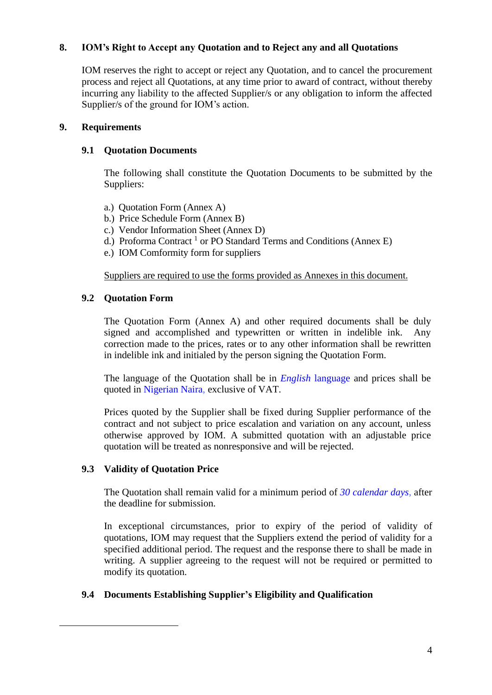# **8. IOM's Right to Accept any Quotation and to Reject any and all Quotations**

IOM reserves the right to accept or reject any Quotation, and to cancel the procurement process and reject all Quotations, at any time prior to award of contract, without thereby incurring any liability to the affected Supplier/s or any obligation to inform the affected Supplier/s of the ground for IOM's action.

#### **9. Requirements**

# **9.1 Quotation Documents**

The following shall constitute the Quotation Documents to be submitted by the Suppliers:

- a.) Quotation Form (Annex A)
- b.) Price Schedule Form (Annex B)
- c.) Vendor Information Sheet (Annex D)
- d.) Proforma Contract<sup>1</sup> or PO Standard Terms and Conditions (Annex E)
- e.) IOM Comformity form for suppliers

Suppliers are required to use the forms provided as Annexes in this document.

# **9.2 Quotation Form**

The Quotation Form (Annex A) and other required documents shall be duly signed and accomplished and typewritten or written in indelible ink. Any correction made to the prices, rates or to any other information shall be rewritten in indelible ink and initialed by the person signing the Quotation Form.

The language of the Quotation shall be in *English* language and prices shall be quoted in Nigerian Naira, exclusive of VAT.

Prices quoted by the Supplier shall be fixed during Supplier performance of the contract and not subject to price escalation and variation on any account, unless otherwise approved by IOM. A submitted quotation with an adjustable price quotation will be treated as nonresponsive and will be rejected.

# **9.3 Validity of Quotation Price**

The Quotation shall remain valid for a minimum period of *30 calendar days*, after the deadline for submission.

In exceptional circumstances, prior to expiry of the period of validity of quotations, IOM may request that the Suppliers extend the period of validity for a specified additional period. The request and the response there to shall be made in writing. A supplier agreeing to the request will not be required or permitted to modify its quotation.

# **9.4 Documents Establishing Supplier's Eligibility and Qualification**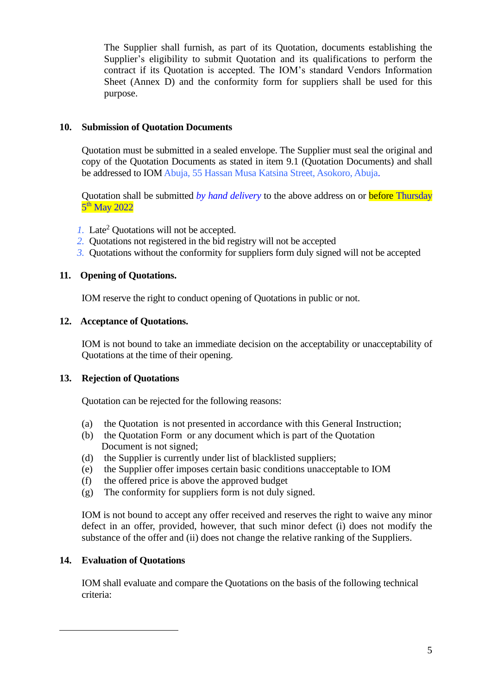The Supplier shall furnish, as part of its Quotation, documents establishing the Supplier's eligibility to submit Quotation and its qualifications to perform the contract if its Quotation is accepted. The IOM's standard Vendors Information Sheet (Annex D) and the conformity form for suppliers shall be used for this purpose.

# **10. Submission of Quotation Documents**

Quotation must be submitted in a sealed envelope. The Supplier must seal the original and copy of the Quotation Documents as stated in item 9.1 (Quotation Documents) and shall be addressed to IOM Abuja, 55 Hassan Musa Katsina Street, Asokoro, Abuja.

Quotation shall be submitted *by hand delivery* to the above address on or before Thursday 5<sup>th</sup> May 2022

- *1.* Late<sup>2</sup> Quotations will not be accepted.
- *2.* Quotations not registered in the bid registry will not be accepted
- *3.* Quotations without the conformity for suppliers form duly signed will not be accepted

# **11. Opening of Quotations.**

IOM reserve the right to conduct opening of Quotations in public or not.

# **12. Acceptance of Quotations.**

IOM is not bound to take an immediate decision on the acceptability or unacceptability of Quotations at the time of their opening.

#### **13. Rejection of Quotations**

Quotation can be rejected for the following reasons:

- (a) the Quotation is not presented in accordance with this General Instruction;
- (b) the Quotation Form or any document which is part of the Quotation Document is not signed;
- (d) the Supplier is currently under list of blacklisted suppliers;
- (e) the Supplier offer imposes certain basic conditions unacceptable to IOM
- (f) the offered price is above the approved budget
- (g) The conformity for suppliers form is not duly signed.

IOM is not bound to accept any offer received and reserves the right to waive any minor defect in an offer, provided, however, that such minor defect (i) does not modify the substance of the offer and (ii) does not change the relative ranking of the Suppliers.

# **14. Evaluation of Quotations**

IOM shall evaluate and compare the Quotations on the basis of the following technical criteria: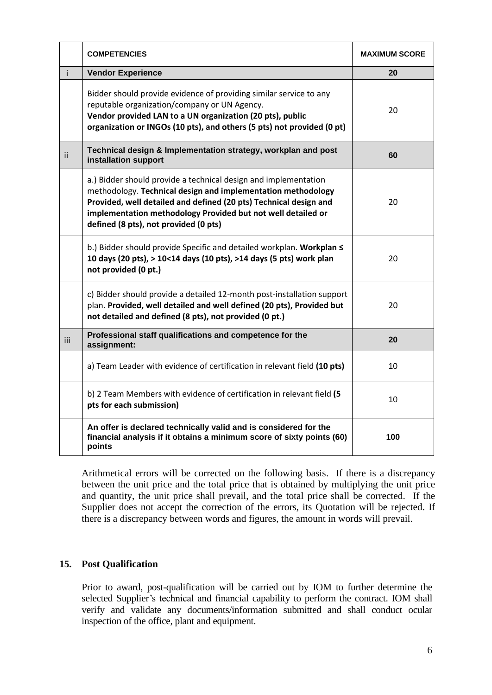|      | <b>COMPETENCIES</b>                                                                                                                                                                                                                                                                                           | <b>MAXIMUM SCORE</b> |
|------|---------------------------------------------------------------------------------------------------------------------------------------------------------------------------------------------------------------------------------------------------------------------------------------------------------------|----------------------|
| i.   | <b>Vendor Experience</b>                                                                                                                                                                                                                                                                                      | 20                   |
|      | Bidder should provide evidence of providing similar service to any<br>reputable organization/company or UN Agency.<br>Vendor provided LAN to a UN organization (20 pts), public<br>organization or INGOs (10 pts), and others (5 pts) not provided (0 pt)                                                     | 20                   |
| ii.  | Technical design & Implementation strategy, workplan and post<br>installation support                                                                                                                                                                                                                         | 60                   |
|      | a.) Bidder should provide a technical design and implementation<br>methodology. Technical design and implementation methodology<br>Provided, well detailed and defined (20 pts) Technical design and<br>implementation methodology Provided but not well detailed or<br>defined (8 pts), not provided (0 pts) | 20                   |
|      | b.) Bidder should provide Specific and detailed workplan. Workplan S<br>10 days (20 pts), > 10<14 days (10 pts), >14 days (5 pts) work plan<br>not provided (0 pt.)                                                                                                                                           | 20                   |
|      | c) Bidder should provide a detailed 12-month post-installation support<br>plan. Provided, well detailed and well defined (20 pts), Provided but<br>not detailed and defined (8 pts), not provided (0 pt.)                                                                                                     | 20                   |
| iii. | Professional staff qualifications and competence for the<br>assignment:                                                                                                                                                                                                                                       | 20                   |
|      | a) Team Leader with evidence of certification in relevant field (10 pts)                                                                                                                                                                                                                                      | 10                   |
|      | b) 2 Team Members with evidence of certification in relevant field (5<br>pts for each submission)                                                                                                                                                                                                             | 10                   |
|      | An offer is declared technically valid and is considered for the<br>financial analysis if it obtains a minimum score of sixty points (60)<br>points                                                                                                                                                           | 100                  |

Arithmetical errors will be corrected on the following basis. If there is a discrepancy between the unit price and the total price that is obtained by multiplying the unit price and quantity, the unit price shall prevail, and the total price shall be corrected. If the Supplier does not accept the correction of the errors, its Quotation will be rejected. If there is a discrepancy between words and figures, the amount in words will prevail.

# **15. Post Qualification**

Prior to award, post-qualification will be carried out by IOM to further determine the selected Supplier's technical and financial capability to perform the contract. IOM shall verify and validate any documents/information submitted and shall conduct ocular inspection of the office, plant and equipment.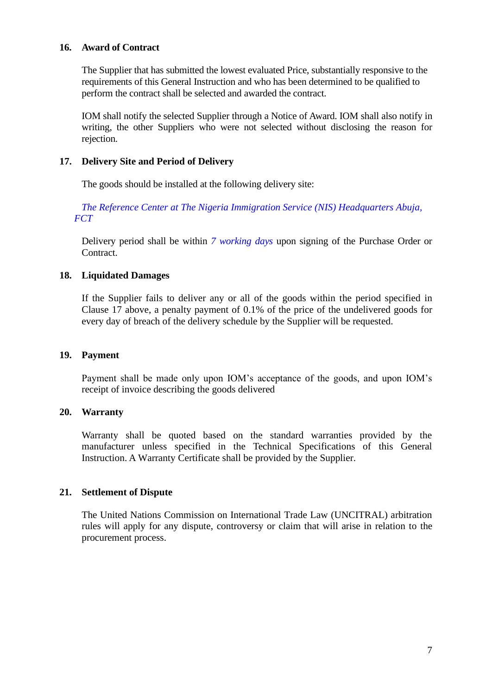#### **16. Award of Contract**

The Supplier that has submitted the lowest evaluated Price, substantially responsive to the requirements of this General Instruction and who has been determined to be qualified to perform the contract shall be selected and awarded the contract.

IOM shall notify the selected Supplier through a Notice of Award. IOM shall also notify in writing, the other Suppliers who were not selected without disclosing the reason for rejection.

# **17. Delivery Site and Period of Delivery**

The goods should be installed at the following delivery site:

*The Reference Center at The Nigeria Immigration Service (NIS) Headquarters Abuja, FCT*

Delivery period shall be within *7 working days* upon signing of the Purchase Order or Contract.

# **18. Liquidated Damages**

If the Supplier fails to deliver any or all of the goods within the period specified in Clause 17 above, a penalty payment of 0.1% of the price of the undelivered goods for every day of breach of the delivery schedule by the Supplier will be requested.

# **19. Payment**

Payment shall be made only upon IOM's acceptance of the goods, and upon IOM's receipt of invoice describing the goods delivered

#### **20. Warranty**

Warranty shall be quoted based on the standard warranties provided by the manufacturer unless specified in the Technical Specifications of this General Instruction. A Warranty Certificate shall be provided by the Supplier.

# **21. Settlement of Dispute**

The United Nations Commission on International Trade Law (UNCITRAL) arbitration rules will apply for any dispute, controversy or claim that will arise in relation to the procurement process.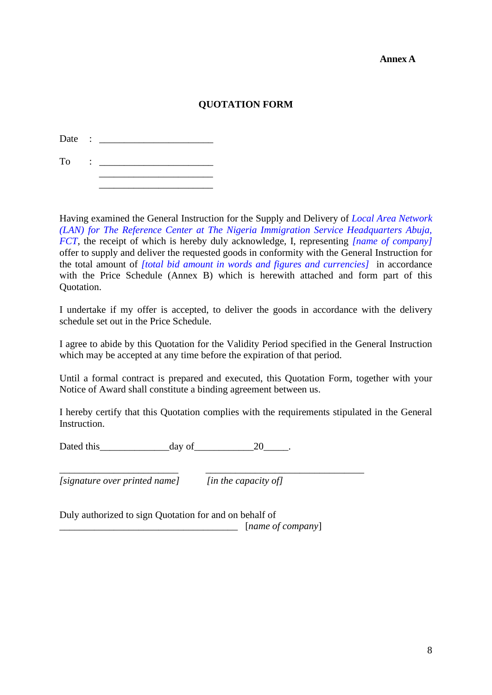#### **Annex A**

# **QUOTATION FORM**

Date : To : \_\_\_\_\_\_\_\_\_\_\_\_\_\_\_\_\_\_\_\_\_\_\_

 $\overline{\phantom{a}}$  , which is a set of the set of the set of the set of the set of the set of the set of the set of the set of the set of the set of the set of the set of the set of the set of the set of the set of the set of th

Having examined the General Instruction for the Supply and Delivery of *Local Area Network (LAN) for The Reference Center at The Nigeria Immigration Service Headquarters Abuja, FCT*, the receipt of which is hereby duly acknowledge, I, representing *[name of company]* offer to supply and deliver the requested goods in conformity with the General Instruction for the total amount of *[total bid amount in words and figures and currencies]* in accordance with the Price Schedule (Annex B) which is herewith attached and form part of this Quotation.

I undertake if my offer is accepted, to deliver the goods in accordance with the delivery schedule set out in the Price Schedule.

I agree to abide by this Quotation for the Validity Period specified in the General Instruction which may be accepted at any time before the expiration of that period.

Until a formal contract is prepared and executed, this Quotation Form, together with your Notice of Award shall constitute a binding agreement between us.

I hereby certify that this Quotation complies with the requirements stipulated in the General Instruction.

Dated this  $\qquad \qquad \text{day of} \qquad \qquad 20 \qquad \qquad .$ 

*[signature over printed name] [in the capacity of]*

\_\_\_\_\_\_\_\_\_\_\_\_\_\_\_\_\_\_\_\_\_\_\_\_ \_\_\_\_\_\_\_\_\_\_\_\_\_\_\_\_\_\_\_\_\_\_\_\_\_\_\_\_\_\_\_\_

Duly authorized to sign Quotation for and on behalf of

\_\_\_\_\_\_\_\_\_\_\_\_\_\_\_\_\_\_\_\_\_\_\_\_\_\_\_\_\_\_\_\_\_\_\_\_ [*name of company*]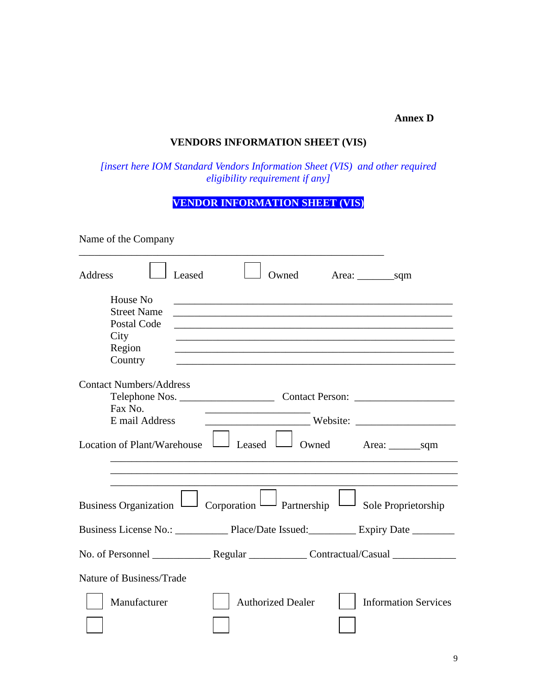#### **Annex D**

# **VENDORS INFORMATION SHEET (VIS)**

*[insert here IOM Standard Vendors Information Sheet (VIS) and other required eligibility requirement if any]* 

# **VENDOR INFORMATION SHEET (VIS)**

| Name of the Company                                                                               |                                                                                                                            |
|---------------------------------------------------------------------------------------------------|----------------------------------------------------------------------------------------------------------------------------|
| Address<br>Leased                                                                                 | Owned                                                                                                                      |
| House No<br><b>Street Name</b><br>Postal Code<br>City<br>Region<br>Country                        | <u> 1989 - Johann Stoff, amerikansk politiker (d. 1989)</u><br><u> 1989 - Johann Stoff, amerikansk politiker (d. 1989)</u> |
| <b>Contact Numbers/Address</b><br>Fax No.<br>E mail Address<br><b>Location of Plant/Warehouse</b> | <u> 2002 - Johann John Stein, mars an deus Frankryk († 18</u><br>$\perp$ Leased l                                          |
|                                                                                                   |                                                                                                                            |
|                                                                                                   | Business Organization $\Box$ Corporation $\Box$ Partnership<br>$\overline{\phantom{a}}$ Sole Proprietorship                |
|                                                                                                   |                                                                                                                            |
|                                                                                                   |                                                                                                                            |
| Nature of Business/Trade                                                                          |                                                                                                                            |
| Manufacturer                                                                                      | <b>Authorized Dealer</b><br><b>Information Services</b>                                                                    |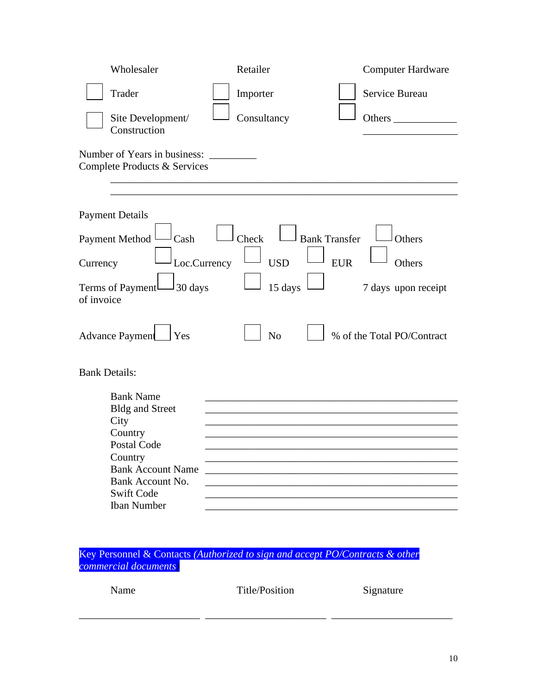| Wholesaler                                                   | Retailer       | <b>Computer Hardware</b>       |
|--------------------------------------------------------------|----------------|--------------------------------|
| Trader                                                       | Importer       | Service Bureau                 |
| Site Development/<br>Construction                            | Consultancy    | Others                         |
| Number of Years in business:<br>Complete Products & Services |                |                                |
|                                                              |                |                                |
| <b>Payment Details</b>                                       |                |                                |
| <b>Payment Method</b><br>Cash                                | Check          | <b>Bank Transfer</b><br>Others |
| Loc.Currency<br>Currency                                     | <b>USD</b>     | <b>EUR</b><br>Others           |
| Terms of Payment<br>30 days<br>of invoice                    | 15 days        | 7 days upon receipt            |
| <b>Advance Payment</b><br><b>Yes</b>                         | N <sub>o</sub> | % of the Total PO/Contract     |
| <b>Bank Details:</b>                                         |                |                                |
| <b>Bank Name</b>                                             |                |                                |
| <b>Bldg and Street</b><br>City                               |                |                                |
| Country                                                      |                |                                |
| Postal Code                                                  |                |                                |
| Country                                                      |                |                                |
| <b>Bank Account Name</b>                                     |                |                                |
| Bank Account No.<br><b>Swift Code</b>                        |                |                                |
| <b>Iban Number</b>                                           |                |                                |
|                                                              |                |                                |

Key Personnel & Contacts *(Authorized to sign and accept PO/Contracts & other commercial documents)*

| Name | Title/Position | Signature |
|------|----------------|-----------|
|      |                |           |

\_\_\_\_\_\_\_\_\_\_\_\_\_\_\_\_\_\_\_\_\_\_\_ \_\_\_\_\_\_\_\_\_\_\_\_\_\_\_\_\_\_\_\_\_\_\_ \_\_\_\_\_\_\_\_\_\_\_\_\_\_\_\_\_\_\_\_\_\_\_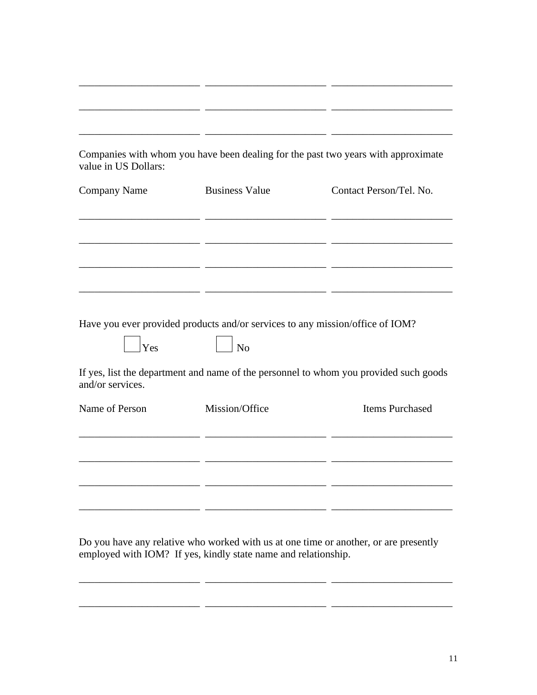| value in US Dollars: |                                                                                     | Companies with whom you have been dealing for the past two years with approximate     |
|----------------------|-------------------------------------------------------------------------------------|---------------------------------------------------------------------------------------|
| <b>Company Name</b>  | <b>Business Value</b>                                                               | Contact Person/Tel. No.                                                               |
|                      |                                                                                     |                                                                                       |
|                      |                                                                                     |                                                                                       |
|                      |                                                                                     |                                                                                       |
| Yes                  | Have you ever provided products and/or services to any mission/office of IOM?<br>No |                                                                                       |
| and/or services.     |                                                                                     | If yes, list the department and name of the personnel to whom you provided such goods |
| Name of Person       | Mission/Office                                                                      | <b>Items Purchased</b>                                                                |
|                      |                                                                                     |                                                                                       |
|                      |                                                                                     |                                                                                       |
|                      |                                                                                     |                                                                                       |

Do you have any relative who worked with us at one time or another, or are presently employed with IOM? If yes, kindly state name and relationship.

\_\_\_\_\_\_\_\_\_\_\_\_\_\_\_\_\_\_\_\_\_\_\_ \_\_\_\_\_\_\_\_\_\_\_\_\_\_\_\_\_\_\_\_\_\_\_ \_\_\_\_\_\_\_\_\_\_\_\_\_\_\_\_\_\_\_\_\_\_\_

\_\_\_\_\_\_\_\_\_\_\_\_\_\_\_\_\_\_\_\_\_\_\_ \_\_\_\_\_\_\_\_\_\_\_\_\_\_\_\_\_\_\_\_\_\_\_ \_\_\_\_\_\_\_\_\_\_\_\_\_\_\_\_\_\_\_\_\_\_\_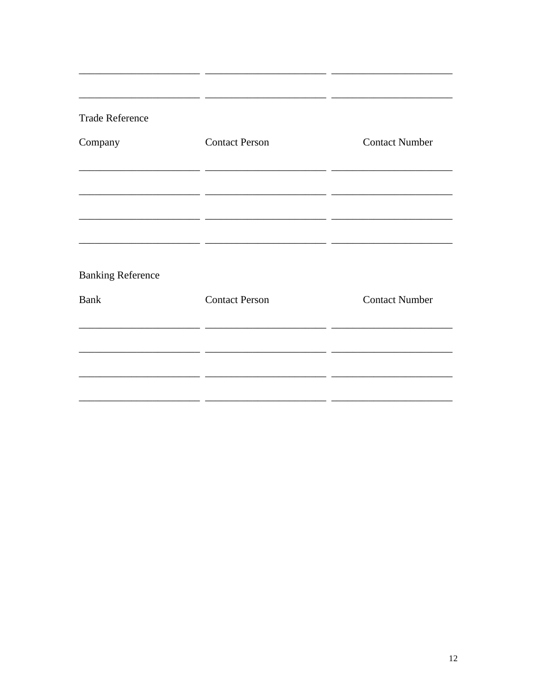| <b>Trade Reference</b>   |                       |                       |
|--------------------------|-----------------------|-----------------------|
| Company                  | <b>Contact Person</b> | <b>Contact Number</b> |
|                          | - -                   |                       |
| <b>Banking Reference</b> |                       |                       |
| <b>Bank</b>              | <b>Contact Person</b> | <b>Contact Number</b> |
|                          |                       |                       |
|                          |                       |                       |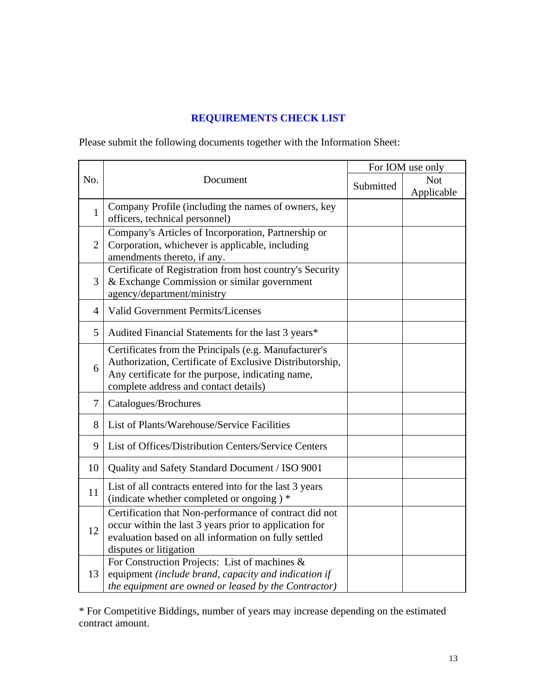# **REQUIREMENTS CHECK LIST**

Please submit the following documents together with the Information Sheet:

|              |                                                                                                                                                                                                                 | For IOM use only |                          |  |
|--------------|-----------------------------------------------------------------------------------------------------------------------------------------------------------------------------------------------------------------|------------------|--------------------------|--|
| No.          | Document<br>Submitted                                                                                                                                                                                           |                  | <b>Not</b><br>Applicable |  |
| $\mathbf{1}$ | Company Profile (including the names of owners, key<br>officers, technical personnel)                                                                                                                           |                  |                          |  |
| 2            | Company's Articles of Incorporation, Partnership or<br>Corporation, whichever is applicable, including<br>amendments thereto, if any.                                                                           |                  |                          |  |
| 3            | Certificate of Registration from host country's Security<br>& Exchange Commission or similar government<br>agency/department/ministry                                                                           |                  |                          |  |
| 4            | <b>Valid Government Permits/Licenses</b>                                                                                                                                                                        |                  |                          |  |
| 5            | Audited Financial Statements for the last 3 years*                                                                                                                                                              |                  |                          |  |
| 6            | Certificates from the Principals (e.g. Manufacturer's<br>Authorization, Certificate of Exclusive Distributorship,<br>Any certificate for the purpose, indicating name,<br>complete address and contact details) |                  |                          |  |
| 7            | Catalogues/Brochures                                                                                                                                                                                            |                  |                          |  |
| 8            | List of Plants/Warehouse/Service Facilities                                                                                                                                                                     |                  |                          |  |
| 9            | List of Offices/Distribution Centers/Service Centers                                                                                                                                                            |                  |                          |  |
| 10           | Quality and Safety Standard Document / ISO 9001                                                                                                                                                                 |                  |                          |  |
| 11           | List of all contracts entered into for the last 3 years<br>(indicate whether completed or ongoing) *                                                                                                            |                  |                          |  |
| 12           | Certification that Non-performance of contract did not<br>occur within the last 3 years prior to application for<br>evaluation based on all information on fully settled<br>disputes or litigation              |                  |                          |  |
| 13           | For Construction Projects: List of machines &<br>equipment (include brand, capacity and indication if<br>the equipment are owned or leased by the Contractor)                                                   |                  |                          |  |

\* For Competitive Biddings, number of years may increase depending on the estimated contract amount.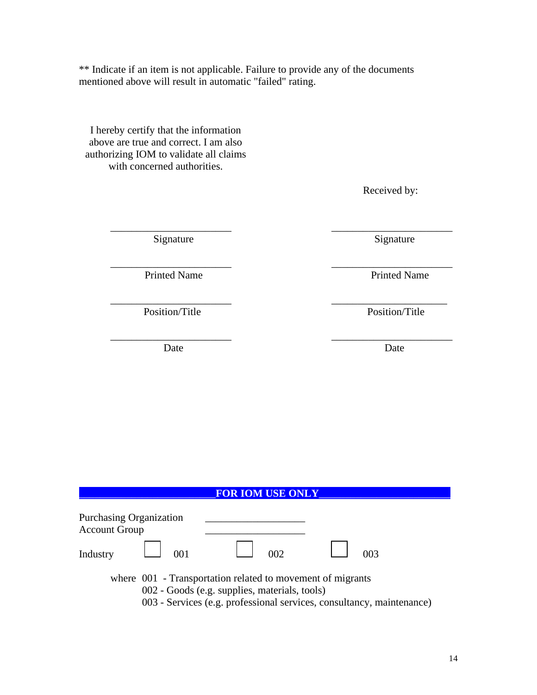\*\* Indicate if an item is not applicable. Failure to provide any of the documents mentioned above will result in automatic "failed" rating.

\_\_\_\_\_\_\_\_\_\_\_\_\_\_\_\_\_\_\_\_\_\_\_ \_\_\_\_\_\_\_\_\_\_\_\_\_\_\_\_\_\_\_\_\_\_\_

\_\_\_\_\_\_\_\_\_\_\_\_\_\_\_\_\_\_\_\_\_\_\_ \_\_\_\_\_\_\_\_\_\_\_\_\_\_\_\_\_\_\_\_\_\_

 $\overline{\phantom{a}}$  , and the contract of the contract of the contract of the contract of the contract of the contract of the contract of the contract of the contract of the contract of the contract of the contract of the contrac

I hereby certify that the information above are true and correct. I am also authorizing IOM to validate all claims with concerned authorities.

Received by:

Signature Signature Signature

 $\overline{\phantom{a}}$  , and the contract of the contract of the contract of the contract of the contract of the contract of the contract of the contract of the contract of the contract of the contract of the contract of the contrac Printed Name Printed Name

Position/Title Position/Title

Date Date Date

| <b>FOR IOM USE ONLY</b>                                                                                                                                                              |     |  |     |  |  |
|--------------------------------------------------------------------------------------------------------------------------------------------------------------------------------------|-----|--|-----|--|--|
| Purchasing Organization<br><b>Account Group</b><br>Industry                                                                                                                          | 001 |  | 002 |  |  |
| where 001 - Transportation related to movement of migrants<br>002 - Goods (e.g. supplies, materials, tools)<br>003 - Services (e.g. professional services, consultancy, maintenance) |     |  |     |  |  |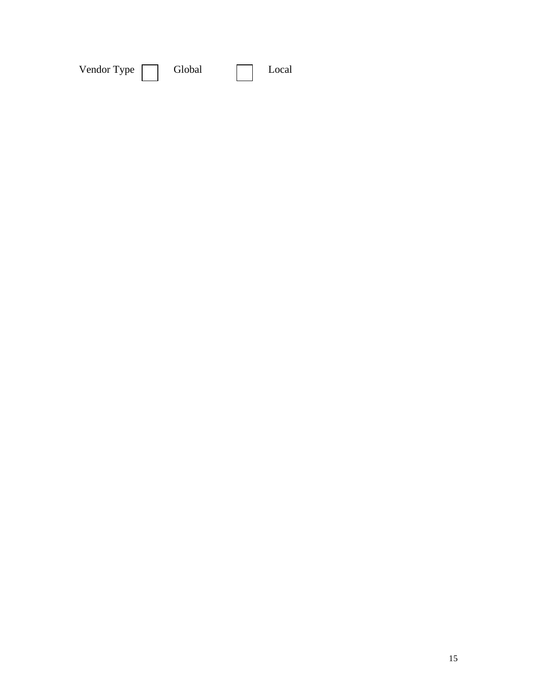| Vendor Type | Global |  | Local |
|-------------|--------|--|-------|
|-------------|--------|--|-------|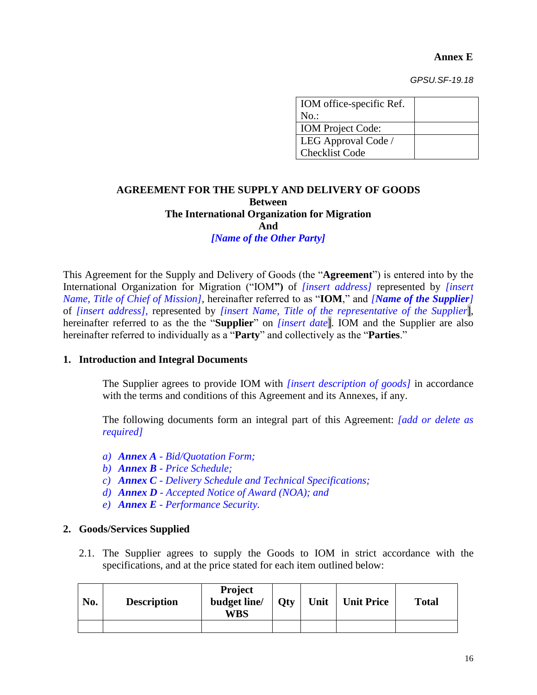**Annex E**

*GPSU.SF-19.18*

| IOM office-specific Ref. |  |
|--------------------------|--|
| $No.$ :                  |  |
| <b>IOM</b> Project Code: |  |
| LEG Approval Code /      |  |
| <b>Checklist Code</b>    |  |

#### **AGREEMENT FOR THE SUPPLY AND DELIVERY OF GOODS Between The International Organization for Migration And**

# *[Name of the Other Party]*

This Agreement for the Supply and Delivery of Goods (the "**Agreement**") is entered into by the International Organization for Migration ("IOM**")** of *[insert address]* represented by *[insert Name, Title of Chief of Mission]*, hereinafter referred to as "**IOM**," and *[Name of the Supplier]* of *[insert address],* represented by *[insert Name, Title of the representative of the Supplier*], hereinafter referred to as the the "**Supplier**" on *[insert date*]. IOM and the Supplier are also hereinafter referred to individually as a "**Party**" and collectively as the "**Parties**."

#### **1. Introduction and Integral Documents**

The Supplier agrees to provide IOM with *[insert description of goods]* in accordance with the terms and conditions of this Agreement and its Annexes, if any.

The following documents form an integral part of this Agreement: *[add or delete as required]*

- *a) Annex A - Bid/Quotation Form;*
- *b) Annex B - Price Schedule;*
- *c) Annex C - Delivery Schedule and Technical Specifications;*
- *d) Annex D - Accepted Notice of Award (NOA); and*
- *e) Annex E - Performance Security.*

#### **2. Goods/Services Supplied**

2.1. The Supplier agrees to supply the Goods to IOM in strict accordance with the specifications, and at the price stated for each item outlined below:

| No. | <b>Description</b> | <b>Project</b><br>budget line/<br><b>WBS</b> | Oty | Unit | <b>Unit Price</b> | <b>Total</b> |
|-----|--------------------|----------------------------------------------|-----|------|-------------------|--------------|
|     |                    |                                              |     |      |                   |              |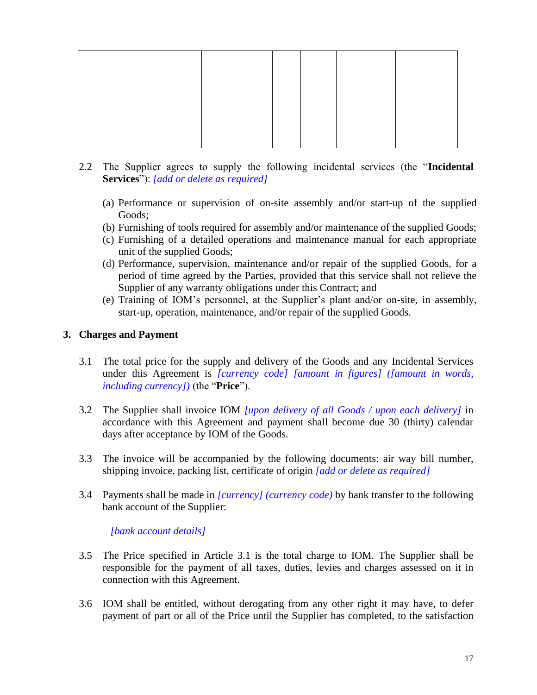- 2.2 The Supplier agrees to supply the following incidental services (the "**Incidental Services**"): *[add or delete as required]*
	- (a) Performance or supervision of on-site assembly and/or start-up of the supplied Goods;
	- (b) Furnishing of tools required for assembly and/or maintenance of the supplied Goods;
	- (c) Furnishing of a detailed operations and maintenance manual for each appropriate unit of the supplied Goods;
	- (d) Performance, supervision, maintenance and/or repair of the supplied Goods, for a period of time agreed by the Parties, provided that this service shall not relieve the Supplier of any warranty obligations under this Contract; and
	- (e) Training of IOM's personnel, at the Supplier's plant and/or on-site, in assembly, start-up, operation, maintenance, and/or repair of the supplied Goods.

# **3. Charges and Payment**

- 3.1 The total price for the supply and delivery of the Goods and any Incidental Services under this Agreement is *[currency code] [amount in figures] ([amount in words, including currency])* (the "**Price**").
- 3.2 The Supplier shall invoice IOM *[upon delivery of all Goods / upon each delivery]* in accordance with this Agreement and payment shall become due 30 (thirty) calendar days after acceptance by IOM of the Goods.
- 3.3 The invoice will be accompanied by the following documents: air way bill number, shipping invoice, packing list, certificate of origin *[add or delete as required]*
- 3.4 Payments shall be made in *[currency] (currency code)* by bank transfer to the following bank account of the Supplier:

*[bank account details]*

- 3.5 The Price specified in Article 3.1 is the total charge to IOM. The Supplier shall be responsible for the payment of all taxes, duties, levies and charges assessed on it in connection with this Agreement.
- 3.6 IOM shall be entitled, without derogating from any other right it may have, to defer payment of part or all of the Price until the Supplier has completed, to the satisfaction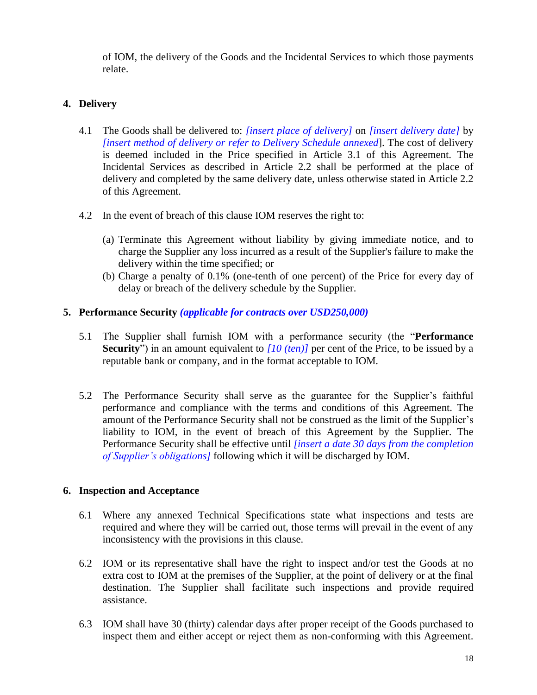of IOM, the delivery of the Goods and the Incidental Services to which those payments relate.

# **4. Delivery**

- 4.1 The Goods shall be delivered to: *[insert place of delivery]* on *[insert delivery date]* by *[insert method of delivery or refer to Delivery Schedule annexed*]. The cost of delivery is deemed included in the Price specified in Article 3.1 of this Agreement. The Incidental Services as described in Article 2.2 shall be performed at the place of delivery and completed by the same delivery date, unless otherwise stated in Article 2.2 of this Agreement.
- 4.2 In the event of breach of this clause IOM reserves the right to:
	- (a) Terminate this Agreement without liability by giving immediate notice, and to charge the Supplier any loss incurred as a result of the Supplier's failure to make the delivery within the time specified; or
	- (b) Charge a penalty of 0.1% (one-tenth of one percent) of the Price for every day of delay or breach of the delivery schedule by the Supplier.

# **5. Performance Security** *(applicable for contracts over USD250,000)*

- 5.1 The Supplier shall furnish IOM with a performance security (the "**Performance Security**") in an amount equivalent to *[10 (ten)]* per cent of the Price, to be issued by a reputable bank or company, and in the format acceptable to IOM.
- 5.2 The Performance Security shall serve as the guarantee for the Supplier's faithful performance and compliance with the terms and conditions of this Agreement. The amount of the Performance Security shall not be construed as the limit of the Supplier's liability to IOM, in the event of breach of this Agreement by the Supplier. The Performance Security shall be effective until *[insert a date 30 days from the completion of Supplier's obligations]* following which it will be discharged by IOM.

#### **6. Inspection and Acceptance**

- 6.1 Where any annexed Technical Specifications state what inspections and tests are required and where they will be carried out, those terms will prevail in the event of any inconsistency with the provisions in this clause.
- 6.2 IOM or its representative shall have the right to inspect and/or test the Goods at no extra cost to IOM at the premises of the Supplier, at the point of delivery or at the final destination. The Supplier shall facilitate such inspections and provide required assistance.
- 6.3 IOM shall have 30 (thirty) calendar days after proper receipt of the Goods purchased to inspect them and either accept or reject them as non-conforming with this Agreement.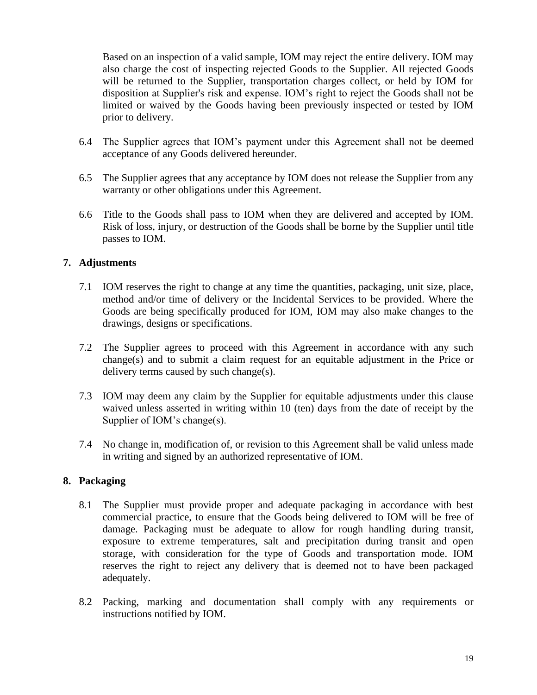Based on an inspection of a valid sample, IOM may reject the entire delivery. IOM may also charge the cost of inspecting rejected Goods to the Supplier. All rejected Goods will be returned to the Supplier, transportation charges collect, or held by IOM for disposition at Supplier's risk and expense. IOM's right to reject the Goods shall not be limited or waived by the Goods having been previously inspected or tested by IOM prior to delivery.

- 6.4 The Supplier agrees that IOM's payment under this Agreement shall not be deemed acceptance of any Goods delivered hereunder.
- 6.5 The Supplier agrees that any acceptance by IOM does not release the Supplier from any warranty or other obligations under this Agreement.
- 6.6 Title to the Goods shall pass to IOM when they are delivered and accepted by IOM. Risk of loss, injury, or destruction of the Goods shall be borne by the Supplier until title passes to IOM.

# **7. Adjustments**

- 7.1 IOM reserves the right to change at any time the quantities, packaging, unit size, place, method and/or time of delivery or the Incidental Services to be provided. Where the Goods are being specifically produced for IOM, IOM may also make changes to the drawings, designs or specifications.
- 7.2 The Supplier agrees to proceed with this Agreement in accordance with any such change(s) and to submit a claim request for an equitable adjustment in the Price or delivery terms caused by such change(s).
- 7.3 IOM may deem any claim by the Supplier for equitable adjustments under this clause waived unless asserted in writing within 10 (ten) days from the date of receipt by the Supplier of IOM's change(s).
- 7.4 No change in, modification of, or revision to this Agreement shall be valid unless made in writing and signed by an authorized representative of IOM.

#### **8. Packaging**

- 8.1 The Supplier must provide proper and adequate packaging in accordance with best commercial practice, to ensure that the Goods being delivered to IOM will be free of damage. Packaging must be adequate to allow for rough handling during transit, exposure to extreme temperatures, salt and precipitation during transit and open storage, with consideration for the type of Goods and transportation mode. IOM reserves the right to reject any delivery that is deemed not to have been packaged adequately.
- 8.2 Packing, marking and documentation shall comply with any requirements or instructions notified by IOM.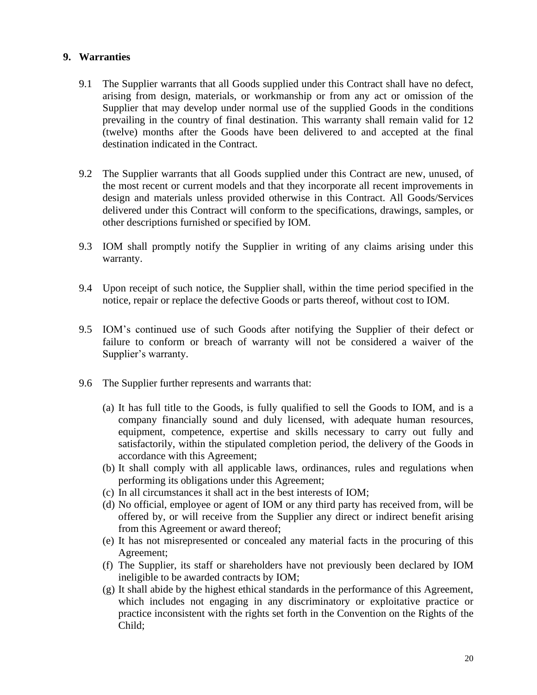#### **9. Warranties**

- 9.1 The Supplier warrants that all Goods supplied under this Contract shall have no defect, arising from design, materials, or workmanship or from any act or omission of the Supplier that may develop under normal use of the supplied Goods in the conditions prevailing in the country of final destination. This warranty shall remain valid for 12 (twelve) months after the Goods have been delivered to and accepted at the final destination indicated in the Contract.
- 9.2 The Supplier warrants that all Goods supplied under this Contract are new, unused, of the most recent or current models and that they incorporate all recent improvements in design and materials unless provided otherwise in this Contract. All Goods/Services delivered under this Contract will conform to the specifications, drawings, samples, or other descriptions furnished or specified by IOM.
- 9.3 IOM shall promptly notify the Supplier in writing of any claims arising under this warranty.
- 9.4 Upon receipt of such notice, the Supplier shall, within the time period specified in the notice, repair or replace the defective Goods or parts thereof, without cost to IOM.
- 9.5 IOM's continued use of such Goods after notifying the Supplier of their defect or failure to conform or breach of warranty will not be considered a waiver of the Supplier's warranty.
- 9.6 The Supplier further represents and warrants that:
	- (a) It has full title to the Goods, is fully qualified to sell the Goods to IOM, and is a company financially sound and duly licensed, with adequate human resources, equipment, competence, expertise and skills necessary to carry out fully and satisfactorily, within the stipulated completion period, the delivery of the Goods in accordance with this Agreement;
	- (b) It shall comply with all applicable laws, ordinances, rules and regulations when performing its obligations under this Agreement;
	- (c) In all circumstances it shall act in the best interests of IOM;
	- (d) No official, employee or agent of IOM or any third party has received from, will be offered by, or will receive from the Supplier any direct or indirect benefit arising from this Agreement or award thereof;
	- (e) It has not misrepresented or concealed any material facts in the procuring of this Agreement;
	- (f) The Supplier, its staff or shareholders have not previously been declared by IOM ineligible to be awarded contracts by IOM;
	- (g) It shall abide by the highest ethical standards in the performance of this Agreement, which includes not engaging in any discriminatory or exploitative practice or practice inconsistent with the rights set forth in the Convention on the Rights of the Child;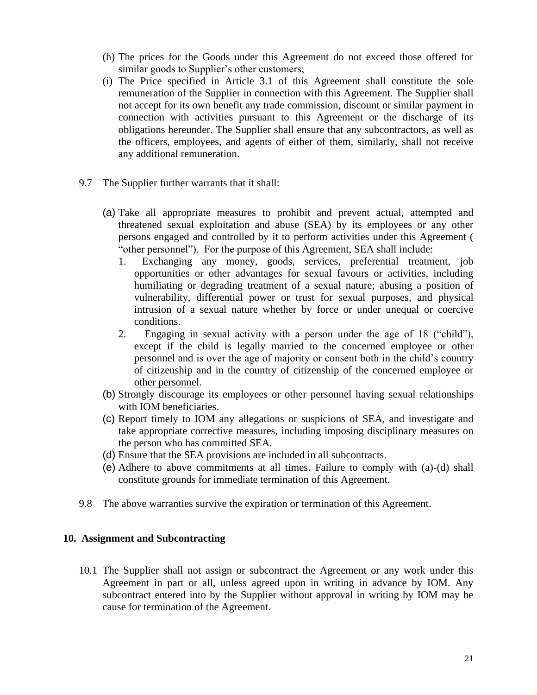- (h) The prices for the Goods under this Agreement do not exceed those offered for similar goods to Supplier's other customers;
- (i) The Price specified in Article 3.1 of this Agreement shall constitute the sole remuneration of the Supplier in connection with this Agreement. The Supplier shall not accept for its own benefit any trade commission, discount or similar payment in connection with activities pursuant to this Agreement or the discharge of its obligations hereunder. The Supplier shall ensure that any subcontractors, as well as the officers, employees, and agents of either of them, similarly, shall not receive any additional remuneration.
- 9.7 The Supplier further warrants that it shall:
	- (a) Take all appropriate measures to prohibit and prevent actual, attempted and threatened sexual exploitation and abuse (SEA) by its employees or any other persons engaged and controlled by it to perform activities under this Agreement ( "other personnel"). For the purpose of this Agreement, SEA shall include:
		- 1. Exchanging any money, goods, services, preferential treatment, job opportunities or other advantages for sexual favours or activities, including humiliating or degrading treatment of a sexual nature; abusing a position of vulnerability, differential power or trust for sexual purposes, and physical intrusion of a sexual nature whether by force or under unequal or coercive conditions.
		- 2. Engaging in sexual activity with a person under the age of 18 ("child"), except if the child is legally married to the concerned employee or other personnel and is over the age of majority or consent both in the child's country of citizenship and in the country of citizenship of the concerned employee or other personnel.
	- (b) Strongly discourage its employees or other personnel having sexual relationships with IOM beneficiaries.
	- (c) Report timely to IOM any allegations or suspicions of SEA, and investigate and take appropriate corrective measures, including imposing disciplinary measures on the person who has committed SEA.
	- (d) Ensure that the SEA provisions are included in all subcontracts.
	- (e) Adhere to above commitments at all times. Failure to comply with (a)-(d) shall constitute grounds for immediate termination of this Agreement.
- 9.8 The above warranties survive the expiration or termination of this Agreement.

#### **10. Assignment and Subcontracting**

10.1 The Supplier shall not assign or subcontract the Agreement or any work under this Agreement in part or all, unless agreed upon in writing in advance by IOM. Any subcontract entered into by the Supplier without approval in writing by IOM may be cause for termination of the Agreement.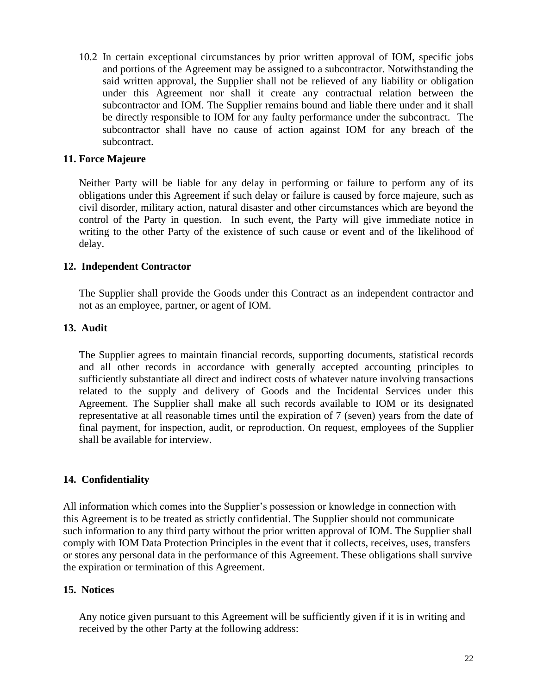10.2 In certain exceptional circumstances by prior written approval of IOM, specific jobs and portions of the Agreement may be assigned to a subcontractor. Notwithstanding the said written approval, the Supplier shall not be relieved of any liability or obligation under this Agreement nor shall it create any contractual relation between the subcontractor and IOM. The Supplier remains bound and liable there under and it shall be directly responsible to IOM for any faulty performance under the subcontract. The subcontractor shall have no cause of action against IOM for any breach of the subcontract.

#### **11. Force Majeure**

Neither Party will be liable for any delay in performing or failure to perform any of its obligations under this Agreement if such delay or failure is caused by force majeure, such as civil disorder, military action, natural disaster and other circumstances which are beyond the control of the Party in question. In such event, the Party will give immediate notice in writing to the other Party of the existence of such cause or event and of the likelihood of delay.

# **12. Independent Contractor**

The Supplier shall provide the Goods under this Contract as an independent contractor and not as an employee, partner, or agent of IOM.

# **13. Audit**

The Supplier agrees to maintain financial records, supporting documents, statistical records and all other records in accordance with generally accepted accounting principles to sufficiently substantiate all direct and indirect costs of whatever nature involving transactions related to the supply and delivery of Goods and the Incidental Services under this Agreement. The Supplier shall make all such records available to IOM or its designated representative at all reasonable times until the expiration of 7 (seven) years from the date of final payment, for inspection, audit, or reproduction. On request, employees of the Supplier shall be available for interview.

# **14. Confidentiality**

All information which comes into the Supplier's possession or knowledge in connection with this Agreement is to be treated as strictly confidential. The Supplier should not communicate such information to any third party without the prior written approval of IOM. The Supplier shall comply with IOM Data Protection Principles in the event that it collects, receives, uses, transfers or stores any personal data in the performance of this Agreement. These obligations shall survive the expiration or termination of this Agreement.

#### **15. Notices**

Any notice given pursuant to this Agreement will be sufficiently given if it is in writing and received by the other Party at the following address: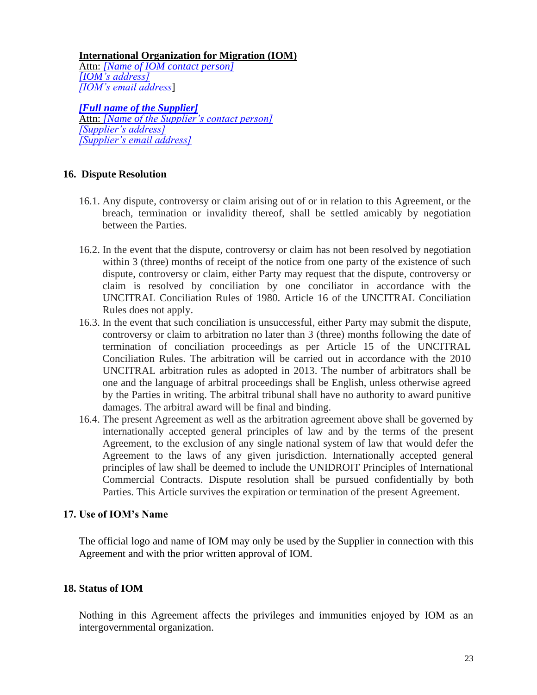**International Organization for Migration (IOM)**

Attn: *[Name of IOM contact person] [IOM's address] [IOM's email address*]

*[Full name of the Supplier]* Attn: *[Name of the Supplier's contact person] [Supplier's address] [Supplier's email address]*

# **16. Dispute Resolution**

- 16.1. Any dispute, controversy or claim arising out of or in relation to this Agreement, or the breach, termination or invalidity thereof, shall be settled amicably by negotiation between the Parties.
- 16.2. In the event that the dispute, controversy or claim has not been resolved by negotiation within 3 (three) months of receipt of the notice from one party of the existence of such dispute, controversy or claim, either Party may request that the dispute, controversy or claim is resolved by conciliation by one conciliator in accordance with the UNCITRAL Conciliation Rules of 1980. Article 16 of the UNCITRAL Conciliation Rules does not apply.
- 16.3. In the event that such conciliation is unsuccessful, either Party may submit the dispute, controversy or claim to arbitration no later than 3 (three) months following the date of termination of conciliation proceedings as per Article 15 of the UNCITRAL Conciliation Rules. The arbitration will be carried out in accordance with the 2010 UNCITRAL arbitration rules as adopted in 2013. The number of arbitrators shall be one and the language of arbitral proceedings shall be English, unless otherwise agreed by the Parties in writing. The arbitral tribunal shall have no authority to award punitive damages. The arbitral award will be final and binding.
- 16.4. The present Agreement as well as the arbitration agreement above shall be governed by internationally accepted general principles of law and by the terms of the present Agreement, to the exclusion of any single national system of law that would defer the Agreement to the laws of any given jurisdiction. Internationally accepted general principles of law shall be deemed to include the UNIDROIT Principles of International Commercial Contracts. Dispute resolution shall be pursued confidentially by both Parties. This Article survives the expiration or termination of the present Agreement.

# **17. Use of IOM's Name**

The official logo and name of IOM may only be used by the Supplier in connection with this Agreement and with the prior written approval of IOM.

#### **18. Status of IOM**

Nothing in this Agreement affects the privileges and immunities enjoyed by IOM as an intergovernmental organization.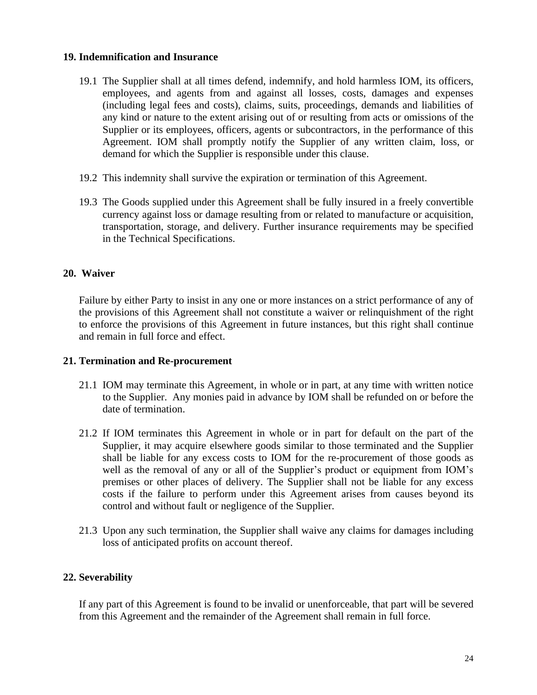#### **19. Indemnification and Insurance**

- 19.1 The Supplier shall at all times defend, indemnify, and hold harmless IOM, its officers, employees, and agents from and against all losses, costs, damages and expenses (including legal fees and costs), claims, suits, proceedings, demands and liabilities of any kind or nature to the extent arising out of or resulting from acts or omissions of the Supplier or its employees, officers, agents or subcontractors, in the performance of this Agreement. IOM shall promptly notify the Supplier of any written claim, loss, or demand for which the Supplier is responsible under this clause.
- 19.2 This indemnity shall survive the expiration or termination of this Agreement.
- 19.3 The Goods supplied under this Agreement shall be fully insured in a freely convertible currency against loss or damage resulting from or related to manufacture or acquisition, transportation, storage, and delivery. Further insurance requirements may be specified in the Technical Specifications.

#### **20. Waiver**

Failure by either Party to insist in any one or more instances on a strict performance of any of the provisions of this Agreement shall not constitute a waiver or relinquishment of the right to enforce the provisions of this Agreement in future instances, but this right shall continue and remain in full force and effect.

#### **21. Termination and Re-procurement**

- 21.1 IOM may terminate this Agreement, in whole or in part, at any time with written notice to the Supplier. Any monies paid in advance by IOM shall be refunded on or before the date of termination.
- 21.2 If IOM terminates this Agreement in whole or in part for default on the part of the Supplier, it may acquire elsewhere goods similar to those terminated and the Supplier shall be liable for any excess costs to IOM for the re-procurement of those goods as well as the removal of any or all of the Supplier's product or equipment from IOM's premises or other places of delivery. The Supplier shall not be liable for any excess costs if the failure to perform under this Agreement arises from causes beyond its control and without fault or negligence of the Supplier.
- 21.3 Upon any such termination, the Supplier shall waive any claims for damages including loss of anticipated profits on account thereof.

#### **22. Severability**

If any part of this Agreement is found to be invalid or unenforceable, that part will be severed from this Agreement and the remainder of the Agreement shall remain in full force.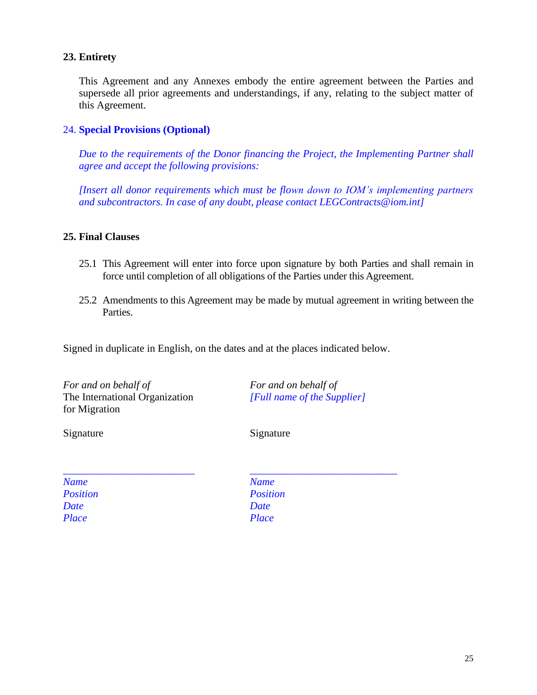#### **23. Entirety**

This Agreement and any Annexes embody the entire agreement between the Parties and supersede all prior agreements and understandings, if any, relating to the subject matter of this Agreement.

#### 24. **Special Provisions (Optional)**

*Due to the requirements of the Donor financing the Project, the Implementing Partner shall agree and accept the following provisions:*

*[Insert all donor requirements which must be flown down to IOM's implementing partners and subcontractors. In case of any doubt, please contact LEGContracts@iom.int]*

#### **25. Final Clauses**

- 25.1 This Agreement will enter into force upon signature by both Parties and shall remain in force until completion of all obligations of the Parties under this Agreement.
- 25.2 Amendments to this Agreement may be made by mutual agreement in writing between the Parties.

Signed in duplicate in English, on the dates and at the places indicated below.

*For and on behalf of* The International Organization for Migration

Signature Signature Signature

*For and on behalf of [Full name of the Supplier]*

*\_\_\_\_\_\_\_\_\_\_\_\_\_\_\_\_\_\_\_\_\_\_\_\_\_ Name Position Date Place*

*\_\_\_\_\_\_\_\_\_\_\_\_\_\_\_\_\_\_\_\_\_\_\_\_\_\_\_\_ Name Position Date Place*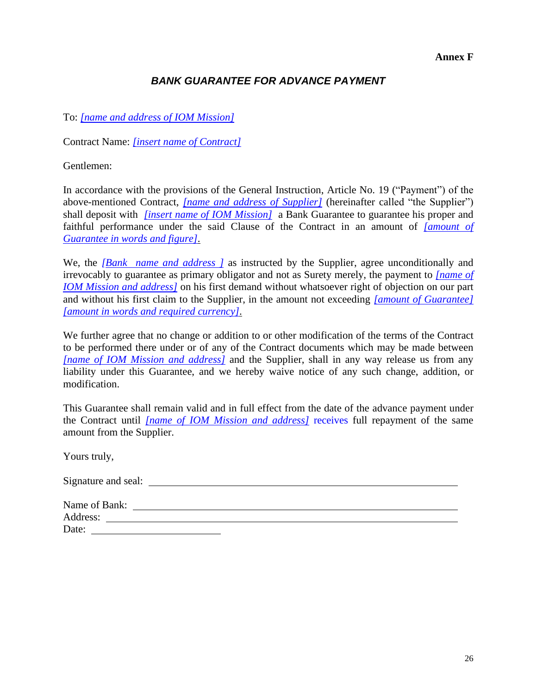**Annex F**

# *BANK GUARANTEE FOR ADVANCE PAYMENT*

# To: *[name and address of IOM Mission]*

Contract Name: *[insert name of Contract]*

Gentlemen:

In accordance with the provisions of the General Instruction, Article No. 19 ("Payment") of the above-mentioned Contract, *[name and address of Supplier]* (hereinafter called "the Supplier") shall deposit with *[insert name of IOM Mission]* a Bank Guarantee to guarantee his proper and faithful performance under the said Clause of the Contract in an amount of *[amount of Guarantee in words and figure]*.

We, the *[Bank name and address ]* as instructed by the Supplier, agree unconditionally and irrevocably to guarantee as primary obligator and not as Surety merely, the payment to *[name of IOM Mission and address]* on his first demand without whatsoever right of objection on our part and without his first claim to the Supplier, in the amount not exceeding *[amount of Guarantee] [amount in words and required currency]*.

We further agree that no change or addition to or other modification of the terms of the Contract to be performed there under or of any of the Contract documents which may be made between *[name of IOM Mission and address]* and the Supplier, shall in any way release us from any liability under this Guarantee, and we hereby waive notice of any such change, addition, or modification.

This Guarantee shall remain valid and in full effect from the date of the advance payment under the Contract until *[name of IOM Mission and address]* receives full repayment of the same amount from the Supplier.

Yours truly,

Signature and seal:

| Name of Bank: |  |  |
|---------------|--|--|
| Address:      |  |  |
| Date:         |  |  |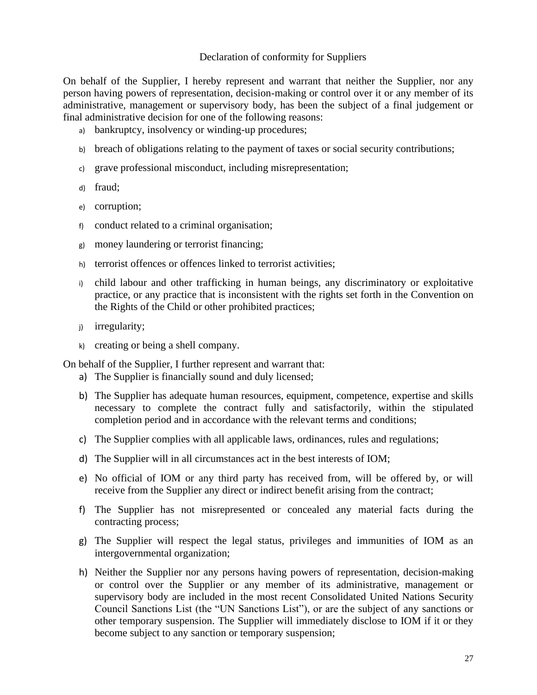#### Declaration of conformity for Suppliers

On behalf of the Supplier, I hereby represent and warrant that neither the Supplier, nor any person having powers of representation, decision-making or control over it or any member of its administrative, management or supervisory body, has been the subject of a final judgement or final administrative decision for one of the following reasons:

- a) bankruptcy, insolvency or winding-up procedures;
- b) breach of obligations relating to the payment of taxes or social security contributions;
- c) grave professional misconduct, including misrepresentation;
- d) fraud;
- e) corruption;
- f) conduct related to a criminal organisation;
- g) money laundering or terrorist financing;
- h) terrorist offences or offences linked to terrorist activities;
- i) child labour and other trafficking in human beings, any discriminatory or exploitative practice, or any practice that is inconsistent with the rights set forth in the Convention on the Rights of the Child or other prohibited practices;
- j) irregularity;
- k) creating or being a shell company.

On behalf of the Supplier, I further represent and warrant that:

- a) The Supplier is financially sound and duly licensed;
- b) The Supplier has adequate human resources, equipment, competence, expertise and skills necessary to complete the contract fully and satisfactorily, within the stipulated completion period and in accordance with the relevant terms and conditions;
- c) The Supplier complies with all applicable laws, ordinances, rules and regulations;
- d) The Supplier will in all circumstances act in the best interests of IOM;
- e) No official of IOM or any third party has received from, will be offered by, or will receive from the Supplier any direct or indirect benefit arising from the contract;
- f) The Supplier has not misrepresented or concealed any material facts during the contracting process;
- g) The Supplier will respect the legal status, privileges and immunities of IOM as an intergovernmental organization;
- h) Neither the Supplier nor any persons having powers of representation, decision-making or control over the Supplier or any member of its administrative, management or supervisory body are included in the most recent Consolidated United Nations Security Council Sanctions List (the "UN Sanctions List"), or are the subject of any sanctions or other temporary suspension. The Supplier will immediately disclose to IOM if it or they become subject to any sanction or temporary suspension;